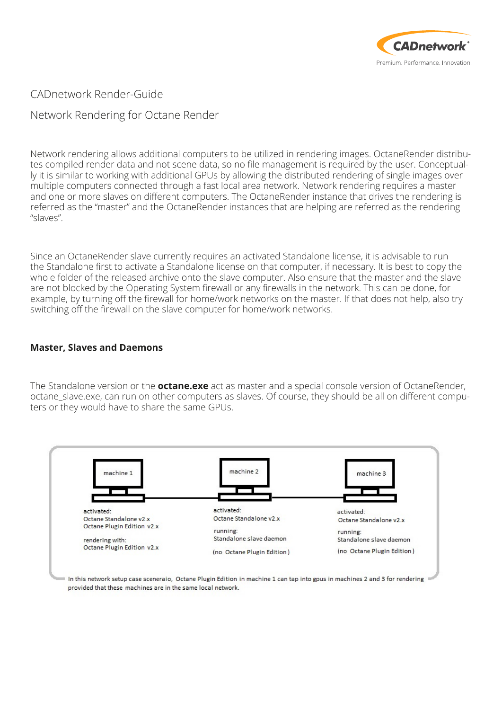

CADnetwork Render-Guide

Network Rendering for Octane Render

Network rendering allows additional computers to be utilized in rendering images. OctaneRender distributes compiled render data and not scene data, so no file management is required by the user. Conceptually it is similar to working with additional GPUs by allowing the distributed rendering of single images over multiple computers connected through a fast local area network. Network rendering requires a master and one or more slaves on different computers. The OctaneRender instance that drives the rendering is referred as the "master" and the OctaneRender instances that are helping are referred as the rendering "slaves".

Since an OctaneRender slave currently requires an activated Standalone license, it is advisable to run the Standalone first to activate a Standalone license on that computer, if necessary. It is best to copy the whole folder of the released archive onto the slave computer. Also ensure that the master and the slave are not blocked by the Operating System firewall or any firewalls in the network. This can be done, for example, by turning off the firewall for home/work networks on the master. If that does not help, also try switching off the firewall on the slave computer for home/work networks.

## **Master, Slaves and Daemons**

The Standalone version or the **octane.exe** act as master and a special console version of OctaneRender, octane slave.exe, can run on other computers as slaves. Of course, they should be all on different computers or they would have to share the same GPUs.

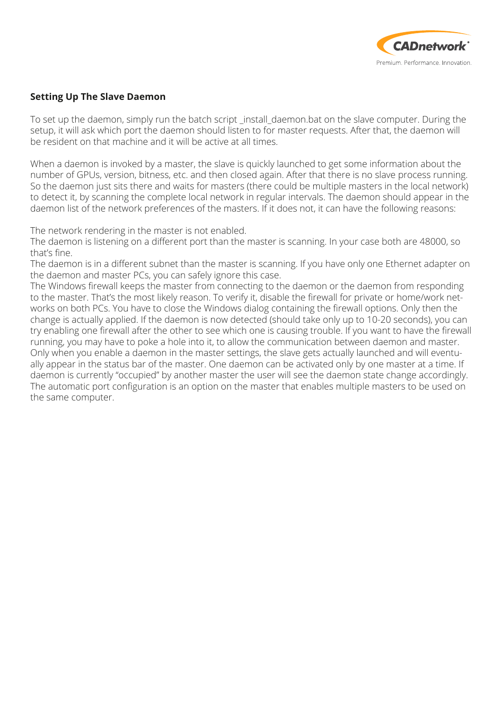

# **Setting Up The Slave Daemon**

To set up the daemon, simply run the batch script \_install\_daemon.bat on the slave computer. During the setup, it will ask which port the daemon should listen to for master requests. After that, the daemon will be resident on that machine and it will be active at all times.

When a daemon is invoked by a master, the slave is quickly launched to get some information about the number of GPUs, version, bitness, etc. and then closed again. After that there is no slave process running. So the daemon just sits there and waits for masters (there could be multiple masters in the local network) to detect it, by scanning the complete local network in regular intervals. The daemon should appear in the daemon list of the network preferences of the masters. If it does not, it can have the following reasons:

The network rendering in the master is not enabled.

The daemon is listening on a different port than the master is scanning. In your case both are 48000, so that's fine.

The daemon is in a different subnet than the master is scanning. If you have only one Ethernet adapter on the daemon and master PCs, you can safely ignore this case.

The Windows firewall keeps the master from connecting to the daemon or the daemon from responding to the master. That's the most likely reason. To verify it, disable the firewall for private or home/work networks on both PCs. You have to close the Windows dialog containing the firewall options. Only then the change is actually applied. If the daemon is now detected (should take only up to 10-20 seconds), you can try enabling one firewall after the other to see which one is causing trouble. If you want to have the firewall running, you may have to poke a hole into it, to allow the communication between daemon and master. Only when you enable a daemon in the master settings, the slave gets actually launched and will eventually appear in the status bar of the master. One daemon can be activated only by one master at a time. If daemon is currently "occupied" by another master the user will see the daemon state change accordingly. The automatic port configuration is an option on the master that enables multiple masters to be used on the same computer.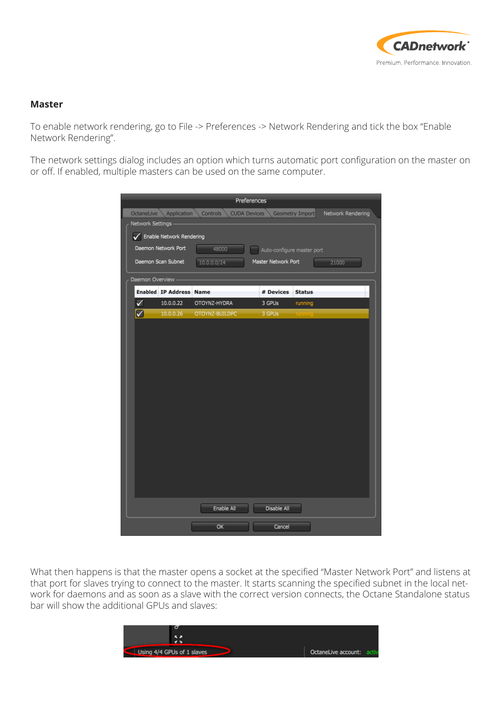

#### **Master**

To enable network rendering, go to File -> Preferences -> Network Rendering and tick the box "Enable Network Rendering".

The network settings dialog includes an option which turns automatic port configuration on the master on or off. If enabled, multiple masters can be used on the same computer.

| Preferences                                                                                          |                                |                |                            |               |       |  |  |  |
|------------------------------------------------------------------------------------------------------|--------------------------------|----------------|----------------------------|---------------|-------|--|--|--|
| Network Rendering<br>OctaneLive<br>Application<br>Controls<br><b>CUDA Devices</b><br>Geometry Import |                                |                |                            |               |       |  |  |  |
| Network Settings                                                                                     |                                |                |                            |               |       |  |  |  |
| Enable Network Rendering                                                                             |                                |                |                            |               |       |  |  |  |
|                                                                                                      | Daemon Network Port            | 48000          | Auto-configure master port |               |       |  |  |  |
|                                                                                                      | Daemon Scan Subnet             | 10.0.0.0/24    | Master Network Port        |               | 21000 |  |  |  |
| Daemon Overview                                                                                      |                                |                |                            |               |       |  |  |  |
|                                                                                                      | <b>Enabled IP Address Name</b> |                | # Devices                  | <b>Status</b> |       |  |  |  |
| ✓                                                                                                    | 10.0.0.22                      | OTOYNZ-HYDRA   | 3 GPUs                     | running       |       |  |  |  |
| ☑                                                                                                    | 10.0.0.26                      | OTOYNZ-BUILDPC | 3 GPUs                     |               |       |  |  |  |
|                                                                                                      |                                |                |                            |               |       |  |  |  |
|                                                                                                      |                                |                |                            |               |       |  |  |  |
|                                                                                                      |                                |                |                            |               |       |  |  |  |
|                                                                                                      |                                |                |                            |               |       |  |  |  |
|                                                                                                      |                                |                |                            |               |       |  |  |  |
|                                                                                                      |                                |                |                            |               |       |  |  |  |
|                                                                                                      |                                |                |                            |               |       |  |  |  |
|                                                                                                      |                                |                |                            |               |       |  |  |  |
|                                                                                                      |                                |                |                            |               |       |  |  |  |
|                                                                                                      |                                |                |                            |               |       |  |  |  |
|                                                                                                      |                                |                |                            |               |       |  |  |  |
|                                                                                                      |                                |                |                            |               |       |  |  |  |
|                                                                                                      |                                |                |                            |               |       |  |  |  |
|                                                                                                      |                                |                |                            |               |       |  |  |  |
|                                                                                                      |                                |                |                            |               |       |  |  |  |
|                                                                                                      |                                | Enable All     | Disable All                |               |       |  |  |  |
|                                                                                                      |                                | OK             | Cancel                     |               |       |  |  |  |

What then happens is that the master opens a socket at the specified "Master Network Port" and listens at that port for slaves trying to connect to the master. It starts scanning the specified subnet in the local network for daemons and as soon as a slave with the correct version connects, the Octane Standalone status bar will show the additional GPUs and slaves:

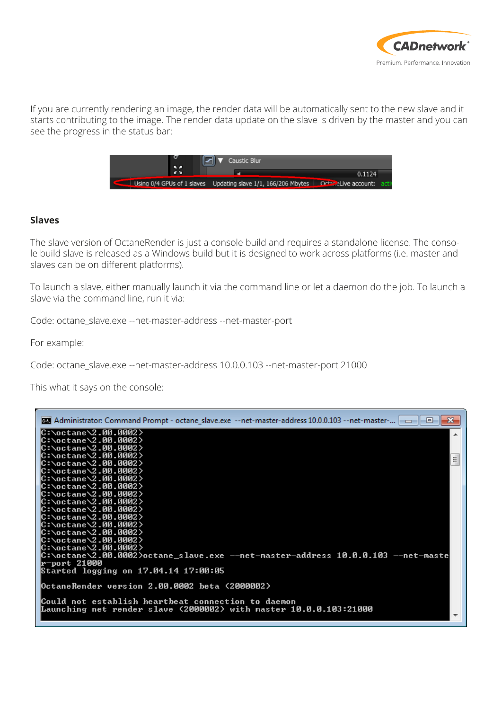

If you are currently rendering an image, the render data will be automatically sent to the new slave and it starts contributing to the image. The render data update on the slave is driven by the master and you can see the progress in the status bar:



#### **Slaves**

The slave version of OctaneRender is just a console build and requires a standalone license. The console build slave is released as a Windows build but it is designed to work across platforms (i.e. master and slaves can be on different platforms).

To launch a slave, either manually launch it via the command line or let a daemon do the job. To launch a slave via the command line, run it via:

Code: octane\_slave.exe --net-master-address --net-master-port

For example:

Code: octane\_slave.exe --net-master-address 10.0.0.103 --net-master-port 21000

This what it says on the console:

| mail Administrator: Command Prompt - octane_slave.exe --net-master-address 10.0.0.103 --net-master-   car | $\mathbf{x}$ |
|-----------------------------------------------------------------------------------------------------------|--------------|
| C:\octane\2.00.0002><br>C:\octane\2.00.0002>                                                              |              |
| C:\octane\2.00.0002>                                                                                      |              |
| C:\octane\2.00.0002>                                                                                      |              |
| C:\octane\2.00.0002>                                                                                      | Ξ            |
| C:\octane\2.00.0002>                                                                                      |              |
| C:\octane\2.00.0002>                                                                                      |              |
| <b>C:\octane\2.00.0002&gt;</b>                                                                            |              |
| C:\octane\2.00.0002><br>C:\octane\2.00.0002>                                                              |              |
| C:\octane\2.00.0002>                                                                                      |              |
| C:\octane\2.00.0002>                                                                                      |              |
| C:\octane\2.00.0002>                                                                                      |              |
| C:\octane\2.00.0002>                                                                                      |              |
| C:\octane\2.00.0002>                                                                                      |              |
| C:\octane\2.00.0002>                                                                                      |              |
| C:\octane\2.00.0002}octane_slave.exe --net-master-address 10.0.0.103 --net-maste<br>r-port 21000          |              |
| Started logging on 17.04.14 17:00:05                                                                      |              |
|                                                                                                           |              |
| OctaneRender version 2.00.0002 beta (2000002)                                                             |              |
|                                                                                                           |              |
| Could not establish heartbeat connection to daemon                                                        |              |
| Launching net render slave (2000002) with master 10.0.0.103:21000                                         |              |
|                                                                                                           |              |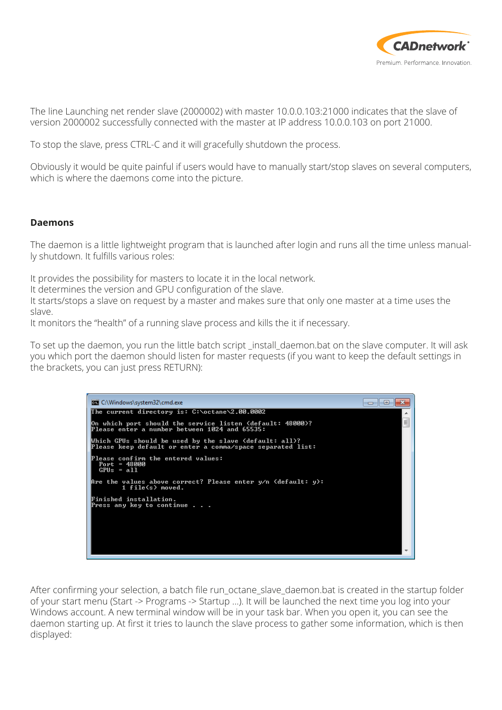

The line Launching net render slave (2000002) with master 10.0.0.103:21000 indicates that the slave of version 2000002 successfully connected with the master at IP address 10.0.0.103 on port 21000.

To stop the slave, press CTRL-C and it will gracefully shutdown the process.

Obviously it would be quite painful if users would have to manually start/stop slaves on several computers, which is where the daemons come into the picture.

### **Daemons**

The daemon is a little lightweight program that is launched after login and runs all the time unless manually shutdown. It fulfills various roles:

It provides the possibility for masters to locate it in the local network.

It determines the version and GPU configuration of the slave.

It starts/stops a slave on request by a master and makes sure that only one master at a time uses the slave.

It monitors the "health" of a running slave process and kills the it if necessary.

To set up the daemon, you run the little batch script \_install\_daemon.bat on the slave computer. It will ask you which port the daemon should listen for master requests (if you want to keep the default settings in the brackets, you can just press RETURN):



After confirming your selection, a batch file run\_octane\_slave\_daemon.bat is created in the startup folder of your start menu (Start -> Programs -> Startup …). It will be launched the next time you log into your Windows account. A new terminal window will be in your task bar. When you open it, you can see the daemon starting up. At first it tries to launch the slave process to gather some information, which is then displayed: